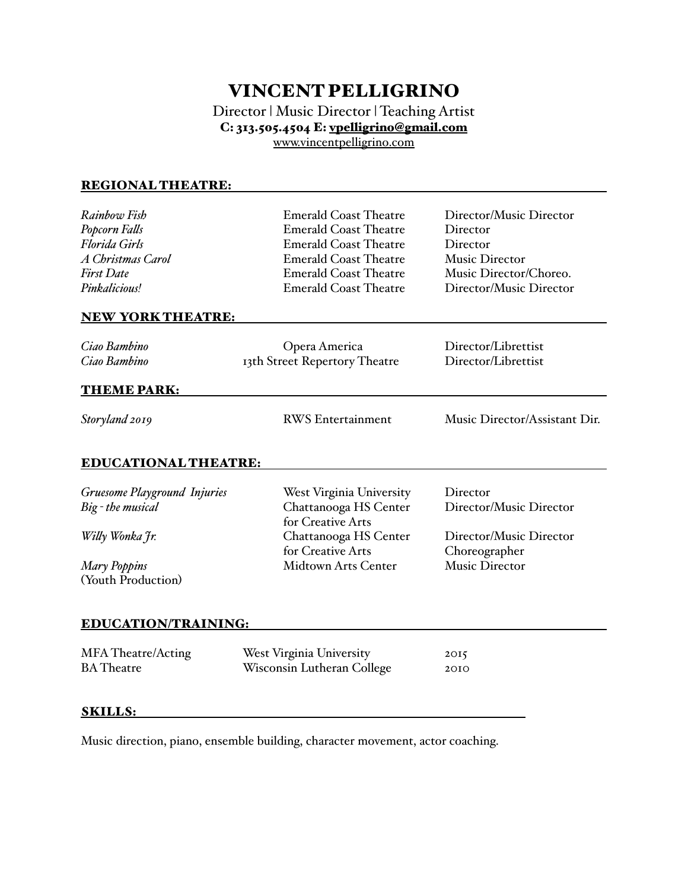## VINCENT PELLIGRINO

Director | Music Director | Teaching Artist C: 313.505.4504 E: [vpelligrino@gmail.com](mailto:vpelligrino@gmail.com) [www.vincentpelligrino.com](http://www.vincentpelligrino.com)

## REGIONAL THEATRE:

| Rainbow Fish                       | <b>Emerald Coast Theatre</b>               | Director/Music Director       |
|------------------------------------|--------------------------------------------|-------------------------------|
| Popcorn Falls                      | <b>Emerald Coast Theatre</b>               | Director                      |
| <b>Florida Girls</b>               | <b>Emerald Coast Theatre</b>               | Director                      |
| A Christmas Carol                  | <b>Emerald Coast Theatre</b>               | Music Director                |
| <b>First Date</b>                  | <b>Emerald Coast Theatre</b>               | Music Director/Choreo.        |
| Pinkalicious!                      | <b>Emerald Coast Theatre</b>               | Director/Music Director       |
| <b>NEW YORK THEATRE:</b>           |                                            |                               |
| Ciao Bambino                       | Opera America                              | Director/Librettist           |
| Ciao Bambino                       | 13th Street Repertory Theatre              | Director/Librettist           |
| <b>THEME PARK:</b>                 |                                            |                               |
| Storyland 2019                     | <b>RWS</b> Entertainment                   | Music Director/Assistant Dir. |
| <b>EDUCATIONAL THEATRE:</b>        |                                            |                               |
| Gruesome Playground Injuries       | West Virginia University                   | Director                      |
| Big - the musical                  | Chattanooga HS Center<br>for Creative Arts | Director/Music Director       |
| Willy Wonka Jr.                    | Chattanooga HS Center                      | Director/Music Director       |
|                                    | for Creative Arts                          | Choreographer                 |
| Mary Poppins<br>(Youth Production) | <b>Midtown Arts Center</b>                 | <b>Music Director</b>         |
| <b>EDUCATION/TRAINING:</b>         |                                            |                               |
| <b>MFA</b> Theatre/Acting          | West Virginia University                   | 2015                          |
| <b>BA</b> Theatre                  | Wisconsin Lutheran College                 | 2010                          |
| <b>SKILLS:</b>                     |                                            |                               |
|                                    |                                            |                               |

Music direction, piano, ensemble building, character movement, actor coaching.